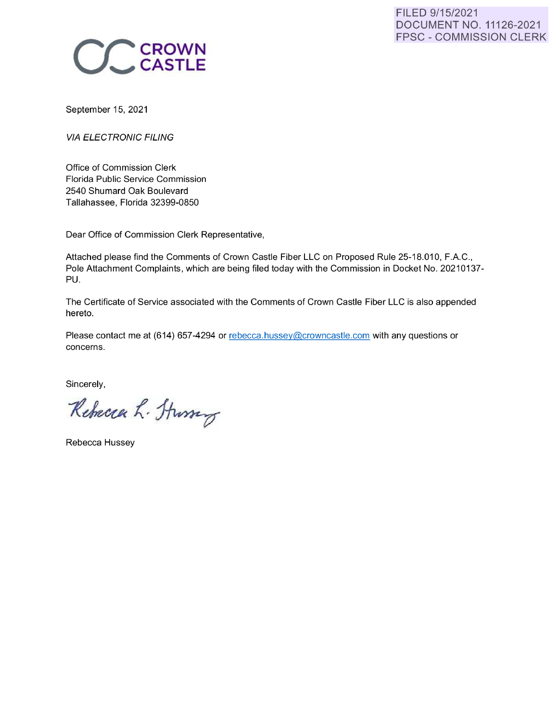

September 15, 2021

**VIA ELECTRONIC FILING** 

Office of Commission Clerk Florida Public Service Commission 2540 Shumard Oak Boulevard Tallahassee, Florida 32399-0850

Dear Office of Commission Clerk Representative,

Attached please find the Comments of Crown Castle Fiber LLC on Proposed Rule 25-18.010, F.A.C., Pole Attachment Complaints, which are being filed today with the Commission in Docket No. 20210137-PU.

The Certificate of Service associated with the Comments of Crown Castle Fiber LLC is also appended hereto.

Please contact me at (614) 657-4294 or rebecca.hussey@crowncastle.com with any questions or concerns.

Sincerely,

Rebecca L. Sturry

Rebecca Hussey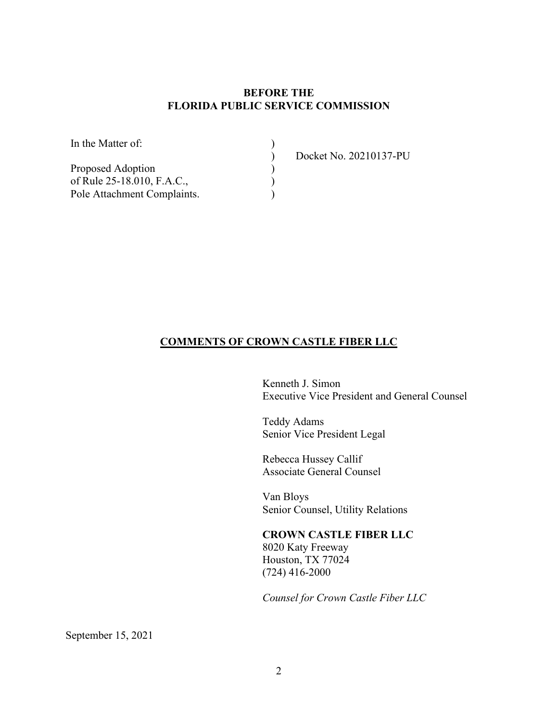# **BEFORE THE FLORIDA PUBLIC SERVICE COMMISSION**

)  $\overline{\mathcal{L}}$  $\sum_{i=1}^{n}$  $\sum$ )

In the Matter of:

Proposed Adoption of Rule 25-18.010, F.A.C., Pole Attachment Complaints. Docket No. 20210137-PU

#### **COMMENTS OF CROWN CASTLE FIBER LLC**

Kenneth J. Simon Executive Vice President and General Counsel

Teddy Adams Senior Vice President Legal

Rebecca Hussey Callif Associate General Counsel

Van Bloys Senior Counsel, Utility Relations

#### **CROWN CASTLE FIBER LLC**

8020 Katy Freeway Houston, TX 77024 (724) 416-2000

*Counsel for Crown Castle Fiber LLC*

September 15, 2021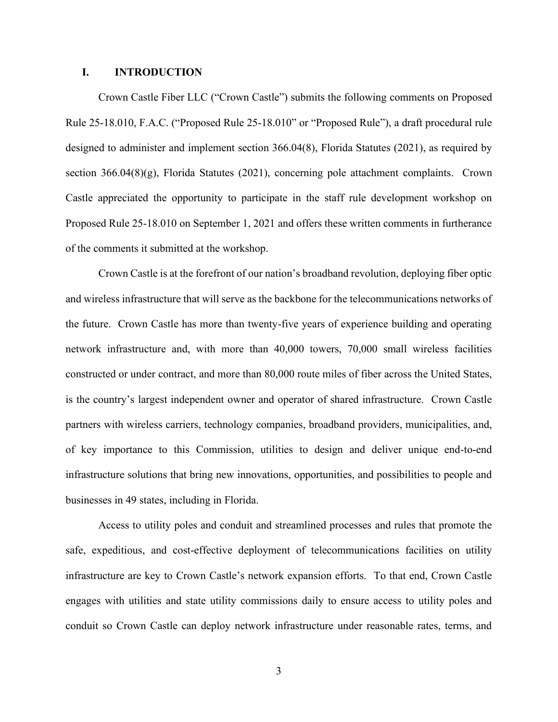#### **I. INTRODUCTION**

Crown Castle Fiber LLC ("Crown Castle") submits the following comments on Proposed Rule 25-18.010, F.A.C. ("Proposed Rule 25-18.010" or "Proposed Rule"), a draft procedural rule designed to administer and implement section 366.04(8), Florida Statutes (2021), as required by section 366.04(8)(g), Florida Statutes (2021), concerning pole attachment complaints. Crown Castle appreciated the opportunity to participate in the staff rule development workshop on Proposed Rule 25-18.010 on September 1, 2021 and offers these written comments in furtherance of the comments it submitted at the workshop.

Crown Castle is at the forefront of our nation's broadband revolution, deploying fiber optic and wireless infrastructure that will serve as the backbone for the telecommunications networks of the future. Crown Castle has more than twenty-five years of experience building and operating network infrastructure and, with more than 40,000 towers, 70,000 small wireless facilities constructed or under contract, and more than 80,000 route miles of fiber across the United States, is the country's largest independent owner and operator of shared infrastructure. Crown Castle partners with wireless carriers, technology companies, broadband providers, municipalities, and, of key importance to this Commission, utilities to design and deliver unique end-to-end infrastructure solutions that bring new innovations, opportunities, and possibilities to people and businesses in 49 states, including in Florida.

Access to utility poles and conduit and streamlined processes and rules that promote the safe, expeditious, and cost-effective deployment of telecommunications facilities on utility infrastructure are key to Crown Castle's network expansion efforts. To that end, Crown Castle engages with utilities and state utility commissions daily to ensure access to utility poles and conduit so Crown Castle can deploy network infrastructure under reasonable rates, terms, and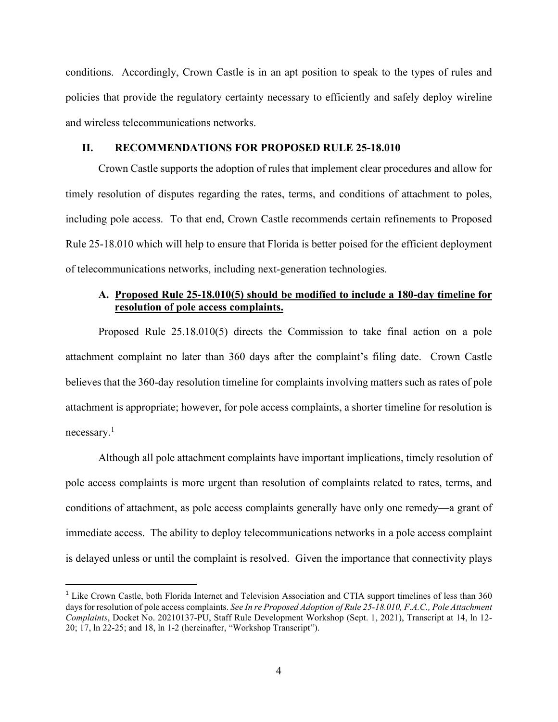conditions. Accordingly, Crown Castle is in an apt position to speak to the types of rules and policies that provide the regulatory certainty necessary to efficiently and safely deploy wireline and wireless telecommunications networks.

### **II. RECOMMENDATIONS FOR PROPOSED RULE 25-18.010**

Crown Castle supports the adoption of rules that implement clear procedures and allow for timely resolution of disputes regarding the rates, terms, and conditions of attachment to poles, including pole access. To that end, Crown Castle recommends certain refinements to Proposed Rule 25-18.010 which will help to ensure that Florida is better poised for the efficient deployment of telecommunications networks, including next-generation technologies.

### **A. Proposed Rule 25-18.010(5) should be modified to include a 180-day timeline for resolution of pole access complaints.**

Proposed Rule 25.18.010(5) directs the Commission to take final action on a pole attachment complaint no later than 360 days after the complaint's filing date. Crown Castle believes that the 360-day resolution timeline for complaints involving matters such as rates of pole attachment is appropriate; however, for pole access complaints, a shorter timeline for resolution is necessary.<sup>1</sup>

Although all pole attachment complaints have important implications, timely resolution of pole access complaints is more urgent than resolution of complaints related to rates, terms, and conditions of attachment, as pole access complaints generally have only one remedy—a grant of immediate access. The ability to deploy telecommunications networks in a pole access complaint is delayed unless or until the complaint is resolved. Given the importance that connectivity plays

<sup>&</sup>lt;sup>1</sup> Like Crown Castle, both Florida Internet and Television Association and CTIA support timelines of less than 360 days for resolution of pole access complaints. *See In re Proposed Adoption of Rule 25-18.010, F.A.C., Pole Attachment Complaints*, Docket No. 20210137-PU, Staff Rule Development Workshop (Sept. 1, 2021), Transcript at 14, ln 12- 20; 17, ln 22-25; and 18, ln 1-2 (hereinafter, "Workshop Transcript").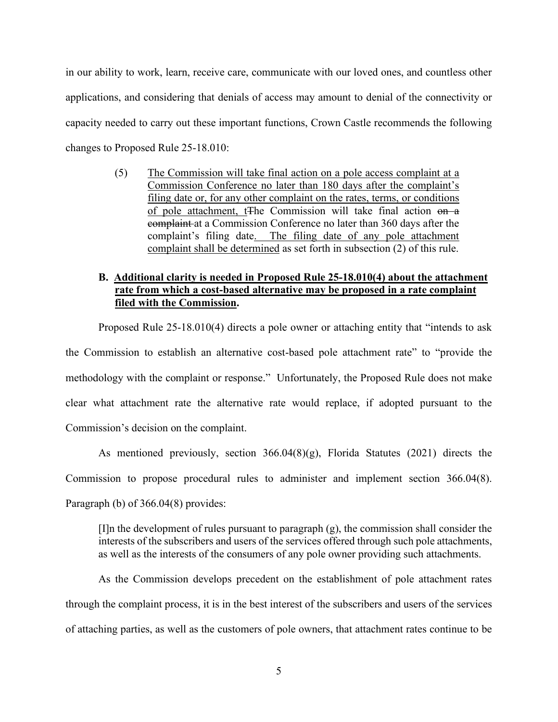in our ability to work, learn, receive care, communicate with our loved ones, and countless other applications, and considering that denials of access may amount to denial of the connectivity or capacity needed to carry out these important functions, Crown Castle recommends the following changes to Proposed Rule 25-18.010:

> (5) The Commission will take final action on a pole access complaint at a Commission Conference no later than 180 days after the complaint's filing date or, for any other complaint on the rates, terms, or conditions of pole attachment, t<sub>The</sub> Commission will take final action on a complaint at a Commission Conference no later than 360 days after the complaint's filing date. The filing date of any pole attachment complaint shall be determined as set forth in subsection (2) of this rule.

# **B. Additional clarity is needed in Proposed Rule 25-18.010(4) about the attachment rate from which a cost-based alternative may be proposed in a rate complaint filed with the Commission.**

Proposed Rule 25-18.010(4) directs a pole owner or attaching entity that "intends to ask the Commission to establish an alternative cost-based pole attachment rate" to "provide the methodology with the complaint or response." Unfortunately, the Proposed Rule does not make clear what attachment rate the alternative rate would replace, if adopted pursuant to the Commission's decision on the complaint.

As mentioned previously, section 366.04(8)(g), Florida Statutes (2021) directs the Commission to propose procedural rules to administer and implement section 366.04(8). Paragraph (b) of 366.04(8) provides:

[I]n the development of rules pursuant to paragraph (g), the commission shall consider the interests of the subscribers and users of the services offered through such pole attachments, as well as the interests of the consumers of any pole owner providing such attachments.

As the Commission develops precedent on the establishment of pole attachment rates through the complaint process, it is in the best interest of the subscribers and users of the services of attaching parties, as well as the customers of pole owners, that attachment rates continue to be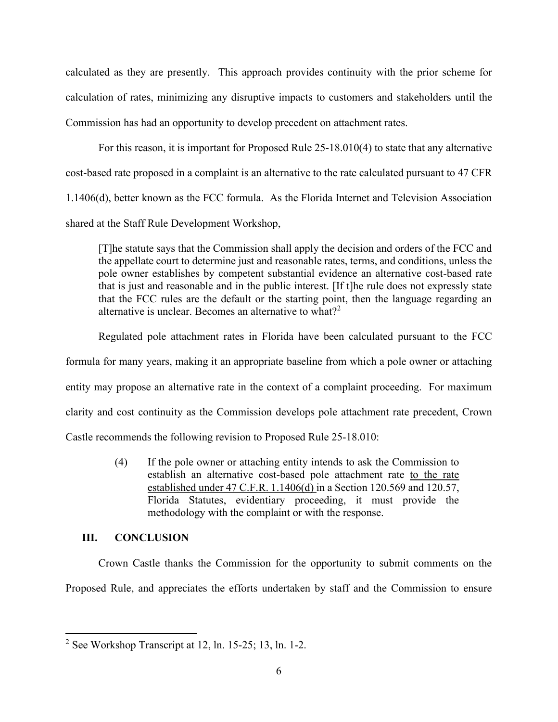calculated as they are presently. This approach provides continuity with the prior scheme for calculation of rates, minimizing any disruptive impacts to customers and stakeholders until the Commission has had an opportunity to develop precedent on attachment rates.

For this reason, it is important for Proposed Rule 25-18.010(4) to state that any alternative cost-based rate proposed in a complaint is an alternative to the rate calculated pursuant to 47 CFR 1.1406(d), better known as the FCC formula. As the Florida Internet and Television Association shared at the Staff Rule Development Workshop,

[T]he statute says that the Commission shall apply the decision and orders of the FCC and the appellate court to determine just and reasonable rates, terms, and conditions, unless the pole owner establishes by competent substantial evidence an alternative cost-based rate that is just and reasonable and in the public interest. [If t]he rule does not expressly state that the FCC rules are the default or the starting point, then the language regarding an alternative is unclear. Becomes an alternative to what?<sup>2</sup>

Regulated pole attachment rates in Florida have been calculated pursuant to the FCC formula for many years, making it an appropriate baseline from which a pole owner or attaching entity may propose an alternative rate in the context of a complaint proceeding. For maximum clarity and cost continuity as the Commission develops pole attachment rate precedent, Crown Castle recommends the following revision to Proposed Rule 25-18.010:

> (4) If the pole owner or attaching entity intends to ask the Commission to establish an alternative cost-based pole attachment rate to the rate established under 47 C.F.R. 1.1406(d) in a Section 120.569 and 120.57, Florida Statutes, evidentiary proceeding, it must provide the methodology with the complaint or with the response.

# **III. CONCLUSION**

Crown Castle thanks the Commission for the opportunity to submit comments on the Proposed Rule, and appreciates the efforts undertaken by staff and the Commission to ensure

<sup>&</sup>lt;sup>2</sup> See Workshop Transcript at 12, ln. 15-25; 13, ln. 1-2.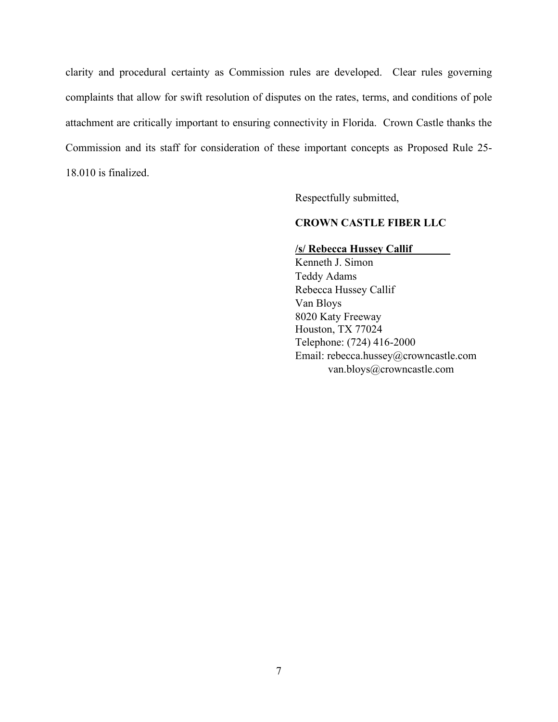clarity and procedural certainty as Commission rules are developed. Clear rules governing complaints that allow for swift resolution of disputes on the rates, terms, and conditions of pole attachment are critically important to ensuring connectivity in Florida. Crown Castle thanks the Commission and its staff for consideration of these important concepts as Proposed Rule 25- 18.010 is finalized.

Respectfully submitted,

## **CROWN CASTLE FIBER LLC**

### **/s/ Rebecca Hussey Callif\_\_\_\_\_\_\_**

Kenneth J. Simon Teddy Adams Rebecca Hussey Callif Van Bloys 8020 Katy Freeway Houston, TX 77024 Telephone: (724) 416-2000 Email: rebecca.hussey@crowncastle.com van.bloys@crowncastle.com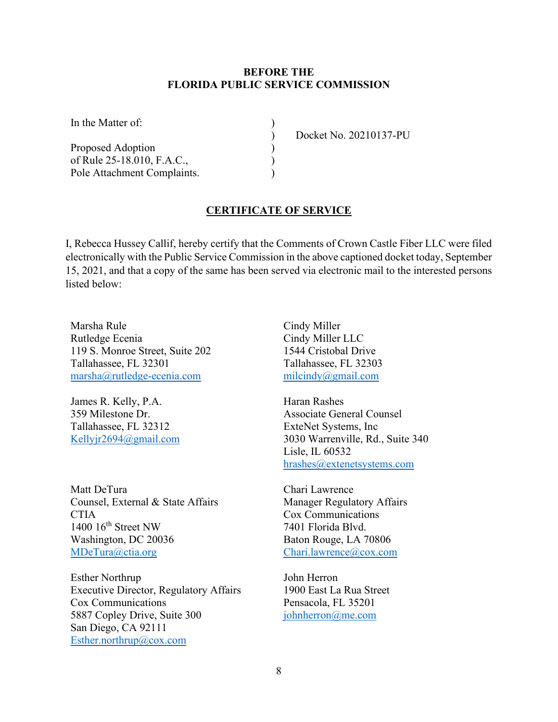### **BEFORE THE FLORIDA PUBLIC SERVICE COMMISSION**

) ) ) ) )

In the Matter of:

Proposed Adoption of Rule 25-18.010, F.A.C., Pole Attachment Complaints. Docket No. 20210137-PU

# **CERTIFICATE OF SERVICE**

I, Rebecca Hussey Callif, hereby certify that the Comments of Crown Castle Fiber LLC were filed electronically with the Public Service Commission in the above captioned docket today, September 15, 2021, and that a copy of the same has been served via electronic mail to the interested persons listed below:

Marsha Rule Rutledge Ecenia 119 S. Monroe Street, Suite 202 Tallahassee, FL 32301 [marsha@rutledge-ecenia.com](mailto:marsha@rutledge-ecenia.com)

James R. Kelly, P.A. 359 Milestone Dr. Tallahassee, FL 32312 [Kellyjr2694@gmail.com](mailto:Kellyjr2694@gmail.com)

Matt DeTura Counsel, External & State Affairs **CTIA** 1400  $16^{th}$  Street NW Washington, DC 20036 [MDeTura@ctia.org](mailto:MDeTura@ctia.org)

Esther Northrup Executive Director, Regulatory Affairs Cox Communications 5887 Copley Drive, Suite 300 San Diego, CA 92111 [Esther.northrup@cox.com](mailto:Esther.northrup@cox.com)

Cindy Miller Cindy Miller LLC 1544 Cristobal Drive Tallahassee, FL 32303 [milcindy@gmail.com](mailto:milcindy@gmail.com)

Haran Rashes Associate General Counsel ExteNet Systems, Inc 3030 Warrenville, Rd., Suite 340 Lisle, IL 60532 [hrashes@extenetsystems.com](mailto:hrashes@extenetsystems.com)

Chari Lawrence Manager Regulatory Affairs Cox Communications 7401 Florida Blvd. Baton Rouge, LA 70806 [Chari.lawrence@cox.com](mailto:Chari.lawrence@cox.com)

John Herron 1900 East La Rua Street Pensacola, FL 35201 [johnherron@me.com](mailto:johnherron@me.com)